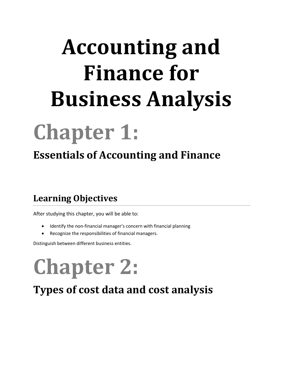# **Accounting and Finance for Business Analysis**

# **Chapter 1:**

### **Essentials of Accounting and Finance**

#### **Learning Objectives**

After studying this chapter, you will be able to:

- Identify the non-financial manager's concern with financial planning
- Recognize the responsibilities of financial managers.

Distinguish between different business entities.

# **Chapter 2:**

**Types of cost data and cost analysis**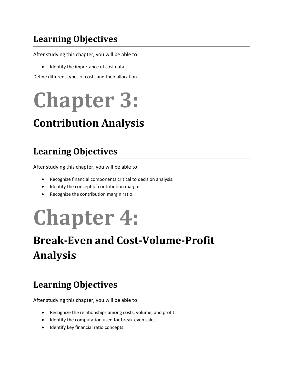After studying this chapter, you will be able to:

Identify the importance of cost data.

Define different types of costs and their allocation

# **Chapter 3:**

### **Contribution Analysis**

#### **Learning Objectives**

After studying this chapter, you will be able to:

- Recognize financial components critical to decision analysis.
- Identify the concept of contribution margin.
- Recognize the contribution margin ratio.

## **Chapter 4:**

### **Break-Even and Cost-Volume-Profit Analysis**

#### **Learning Objectives**

After studying this chapter, you will be able to:

- Recognize the relationships among costs, volume, and profit.
- $\bullet$  Identify the computation used for break-even sales.
- **•** Identify key financial ratio concepts.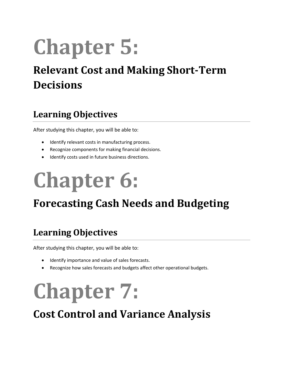# **Chapter 5:**

### **Relevant Cost and Making Short-Term Decisions**

#### **Learning Objectives**

After studying this chapter, you will be able to:

- $\bullet$  Identify relevant costs in manufacturing process.
- Recognize components for making financial decisions.
- $\bullet$  Identify costs used in future business directions.

# **Chapter 6:**

### **Forecasting Cash Needs and Budgeting**

#### **Learning Objectives**

After studying this chapter, you will be able to:

- Identify importance and value of sales forecasts.
- Recognize how sales forecasts and budgets affect other operational budgets.

## **Chapter 7:**

**Cost Control and Variance Analysis**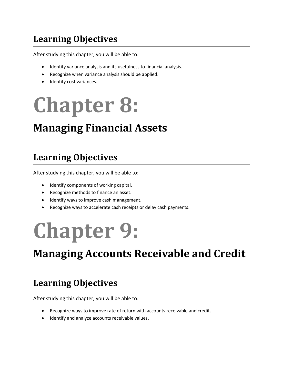After studying this chapter, you will be able to:

- Identify variance analysis and its usefulness to financial analysis.
- Recognize when variance analysis should be applied.
- Identify cost variances.

# **Chapter 8:**

### **Managing Financial Assets**

#### **Learning Objectives**

After studying this chapter, you will be able to:

- Identify components of working capital.
- Recognize methods to finance an asset.
- Identify ways to improve cash management.
- Recognize ways to accelerate cash receipts or delay cash payments.

## **Chapter 9:**

### **Managing Accounts Receivable and Credit**

#### **Learning Objectives**

After studying this chapter, you will be able to:

- Recognize ways to improve rate of return with accounts receivable and credit.
- Identify and analyze accounts receivable values.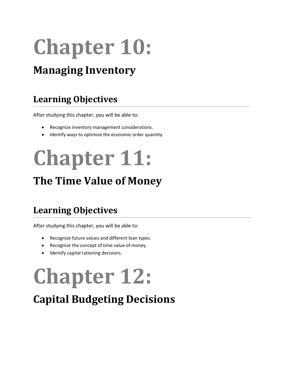# **Chapter 10:**

### **Managing Inventory**

#### **Learning Objectives**

After studying this chapter, you will be able to:

- Recognize inventory management considerations.
- Identify ways to optimize the economic order quantity.

# **Chapter 11:**

### **The Time Value of Money**

#### **Learning Objectives**

After studying this chapter, you will be able to:

- Recognize future values and different loan types.
- Recognize the concept of time value of money.
- Identify capital rationing decisions.

# **Chapter 12:**

### **Capital Budgeting Decisions**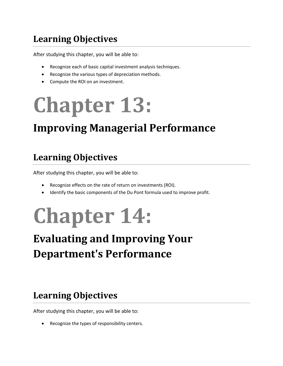After studying this chapter, you will be able to:

- Recognize each of basic capital investment analysis techniques.
- Recognize the various types of depreciation methods.
- Compute the ROI on an investment.

# **Chapter 13:**

### **Improving Managerial Performance**

#### **Learning Objectives**

After studying this chapter, you will be able to:

- Recognize effects on the rate of return on investments (ROI).
- Identify the basic components of the Du Pont formula used to improve profit.

# **Chapter 14:**

### **Evaluating and Improving Your Department's Performance**

#### **Learning Objectives**

After studying this chapter, you will be able to:

Recognize the types of responsibility centers.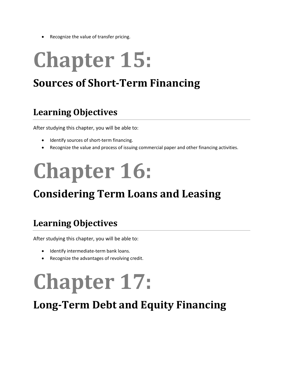Recognize the value of transfer pricing.

# **Chapter 15:**

### **Sources of Short-Term Financing**

#### **Learning Objectives**

After studying this chapter, you will be able to:

- Identify sources of short-term financing.
- Recognize the value and process of issuing commercial paper and other financing activities.

# **Chapter 16:**

### **Considering Term Loans and Leasing**

#### **Learning Objectives**

After studying this chapter, you will be able to:

- Identify intermediate-term bank loans.
- Recognize the advantages of revolving credit.

# **Chapter 17:**

**Long-Term Debt and Equity Financing**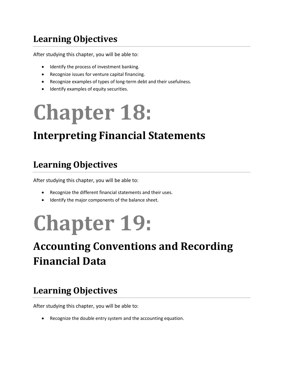After studying this chapter, you will be able to:

- Identify the process of investment banking.
- Recognize issues for venture capital financing.
- Recognize examples of types of long-term debt and their usefulness.
- **•** Identify examples of equity securities.

# **Chapter 18:**

### **Interpreting Financial Statements**

#### **Learning Objectives**

After studying this chapter, you will be able to:

- Recognize the different financial statements and their uses.
- $\bullet$  Identify the major components of the balance sheet.

# **Chapter 19:**

### **Accounting Conventions and Recording Financial Data**

#### **Learning Objectives**

After studying this chapter, you will be able to:

Recognize the double entry system and the accounting equation.